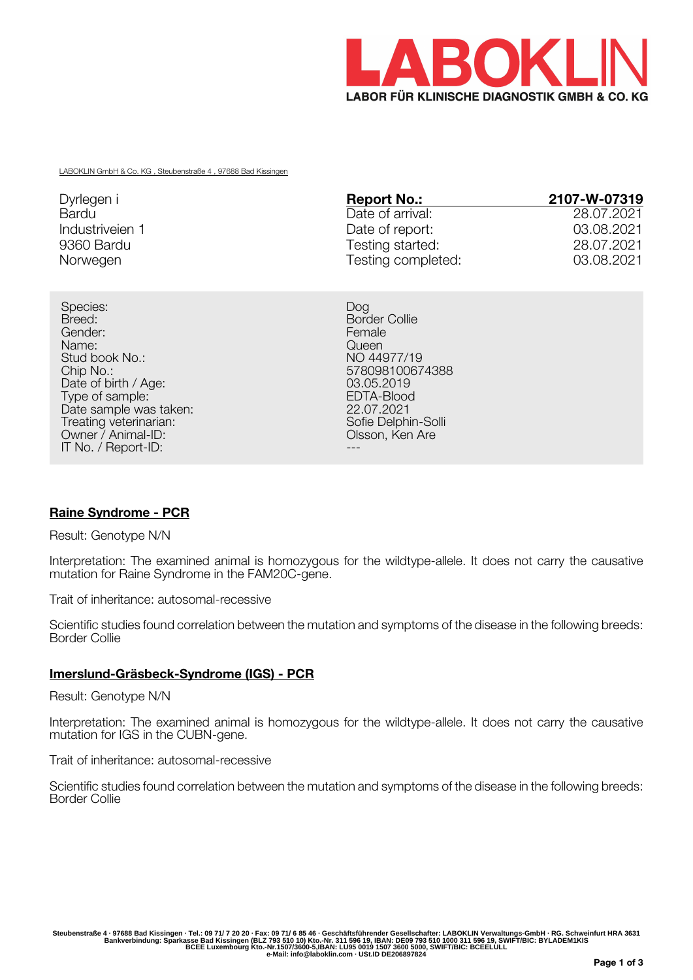

LABOKLIN GmbH & Co. KG , Steubenstraße 4 , 97688 Bad Kissingen

| Dyrlegen i      | <b>Report No.:</b> | 2107-W-07319 |
|-----------------|--------------------|--------------|
| Bardu           | Date of arrival:   | 28.07.2021   |
| Industriveien 1 | Date of report:    | 03.08.2021   |
| 9360 Bardu      | Testing started:   | 28.07.2021   |
| Norwegen        | Testing completed: | 03.08.2021   |

Species: Dog Breed: Breed: Border Collie Gender: Female Name: Queen Stud book No.: NO 44977/19<br>Chip No.: 2009810067 Date of birth / Age: 03.05.2019<br>
Type of sample: 03.05.2019<br>
EDTA-Blood Type of sample: EDTA-Blood<br>Date sample was taken: Entry the Material Material of the 22.07.2021 Date sample was taken: 22.07.2021<br>Treating veterinarian: 22.07.2021<br>Sofie Delphin-Solli Treating veterinarian: Treating veterinarian: Sofie Delphin-Solli Owner / Animal-ID: Olsson, Ken Are IT No. / Report-ID:

578098100674388<br>03.05.2019

# **Raine Syndrome - PCR**

Result: Genotype N/N

Interpretation: The examined animal is homozygous for the wildtype-allele. It does not carry the causative mutation for Raine Syndrome in the FAM20C-gene.

Trait of inheritance: autosomal-recessive

Scientific studies found correlation between the mutation and symptoms of the disease in the following breeds: Border Collie

### **Imerslund-Gräsbeck-Syndrome (IGS) - PCR**

Result: Genotype N/N

Interpretation: The examined animal is homozygous for the wildtype-allele. It does not carry the causative mutation for IGS in the CUBN-gene.

Trait of inheritance: autosomal-recessive

Scientific studies found correlation between the mutation and symptoms of the disease in the following breeds: Border Collie

Steubenstraße 4 · 97688 Bad Kissingen · Tel.: 09 71/ 7 20 20 · Fax: 09 71/ 6 85 46 · Geschäftsführender Gesellschafter: LABOKLIN Verwaltungs-GmbH · RG. Schweinfurt HRA 3631<br>Bankverbindung: Sparkasse Bad Kissingen (BLZ 793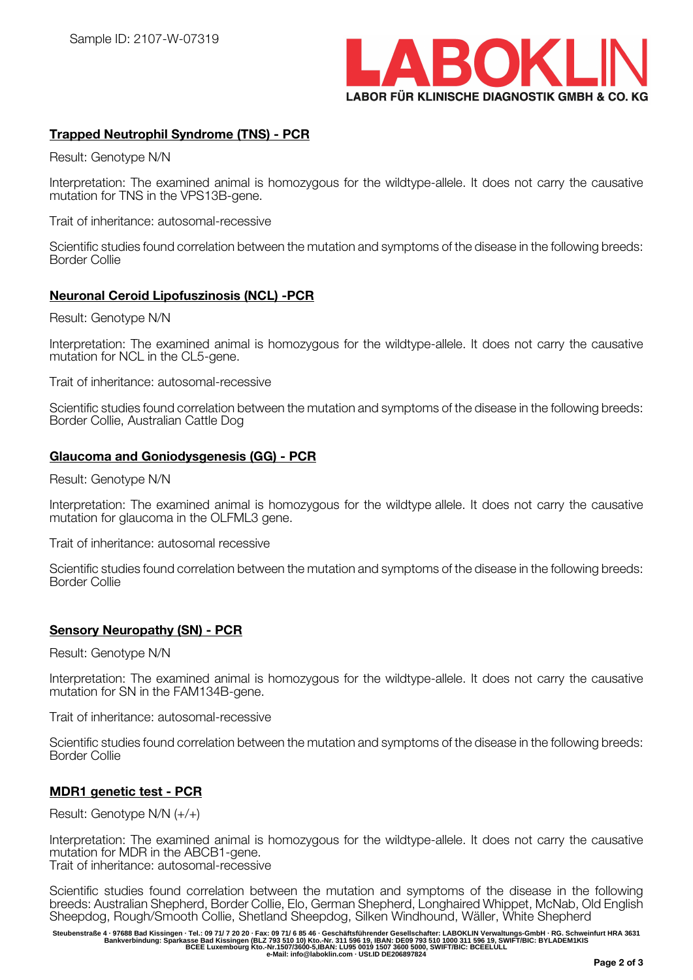

## **Trapped Neutrophil Syndrome (TNS) - PCR**

Result: Genotype N/N

Interpretation: The examined animal is homozygous for the wildtype-allele. It does not carry the causative mutation for TNS in the VPS13B-gene.

Trait of inheritance: autosomal-recessive

Scientific studies found correlation between the mutation and symptoms of the disease in the following breeds: Border Collie

## **Neuronal Ceroid Lipofuszinosis (NCL) -PCR**

Result: Genotype N/N

Interpretation: The examined animal is homozygous for the wildtype-allele. It does not carry the causative mutation for NCL in the CL5-gene.

Trait of inheritance: autosomal-recessive

Scientific studies found correlation between the mutation and symptoms of the disease in the following breeds: Border Collie, Australian Cattle Dog

## **Glaucoma and Goniodysgenesis (GG) - PCR**

Result: Genotype N/N

Interpretation: The examined animal is homozygous for the wildtype allele. It does not carry the causative mutation for glaucoma in the OLFML3 gene.

Trait of inheritance: autosomal recessive

Scientific studies found correlation between the mutation and symptoms of the disease in the following breeds: Border Collie

## **Sensory Neuropathy (SN) - PCR**

Result: Genotype N/N

Interpretation: The examined animal is homozygous for the wildtype-allele. It does not carry the causative mutation for SN in the FAM134B-gene.

Trait of inheritance: autosomal-recessive

Scientific studies found correlation between the mutation and symptoms of the disease in the following breeds: Border Collie

### **MDR1 genetic test - PCR**

Result: Genotype N/N (+/+)

Interpretation: The examined animal is homozygous for the wildtype-allele. It does not carry the causative mutation for MDR in the ABCB1-gene. Trait of inheritance: autosomal-recessive

Scientific studies found correlation between the mutation and symptoms of the disease in the following breeds: Australian Shepherd, Border Collie, Elo, German Shepherd, Longhaired Whippet, McNab, Old English Sheepdog, Rough/Smooth Collie, Shetland Sheepdog, Silken Windhound, Wäller, White Shepherd

Steubenstraße 4 · 97688 Bad Kissingen · Tel.: 09 71/ 7 20 20 · Fax: 09 71/ 6 85 46 · Geschäftsführender Gesellschafter: LABOKLIN Verwaltungs-GmbH · RG. Schweinfurt HRA 3631<br>Bankverbindung: Sparkasse Bad Kissingen (BLZ 793